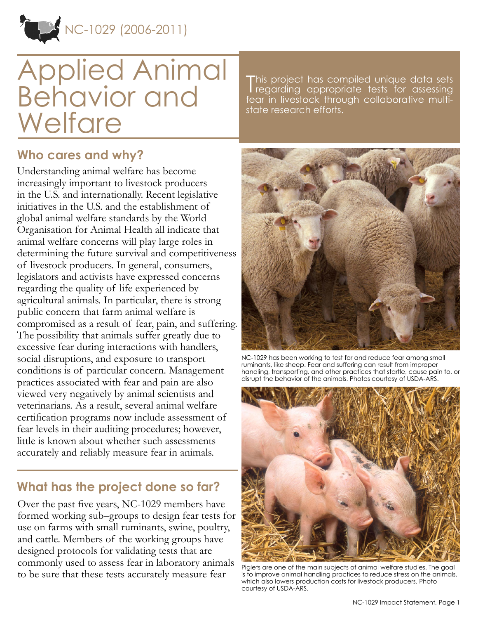

# Applied Animal Behavior and **Welfare**

This project has compiled unique data sets<br>Tregarding appropriate tests for assessing **I** regarding appropriate tests for assessing fear in livestock through collaborative multistate research efforts.

## **Who cares and why?**

Understanding animal welfare has become increasingly important to livestock producers in the U.S. and internationally. Recent legislative initiatives in the U.S. and the establishment of global animal welfare standards by the World Organisation for Animal Health all indicate that animal welfare concerns will play large roles in determining the future survival and competitiveness of livestock producers. In general, consumers, legislators and activists have expressed concerns regarding the quality of life experienced by agricultural animals. In particular, there is strong public concern that farm animal welfare is compromised as a result of fear, pain, and suffering. The possibility that animals suffer greatly due to excessive fear during interactions with handlers, social disruptions, and exposure to transport conditions is of particular concern. Management practices associated with fear and pain are also viewed very negatively by animal scientists and veterinarians. As a result, several animal welfare certification programs now include assessment of fear levels in their auditing procedures; however, little is known about whether such assessments accurately and reliably measure fear in animals.

## **What has the project done so far?**

Over the past five years, NC-1029 members have formed working sub–groups to design fear tests for use on farms with small ruminants, swine, poultry, and cattle. Members of the working groups have designed protocols for validating tests that are commonly used to assess fear in laboratory animals to be sure that these tests accurately measure fear



NC-1029 has been working to test for and reduce fear among small ruminants, like sheep. Fear and suffering can result from improper handling, transporting, and other practices that startle, cause pain to, or disrupt the behavior of the animals. Photos courtesy of USDA-ARS.



Piglets are one of the main subjects of animal welfare studies. The goal is to improve animal handling practices to reduce stress on the animals, which also lowers production costs for livestock producers. Photo courtesy of USDA-ARS.